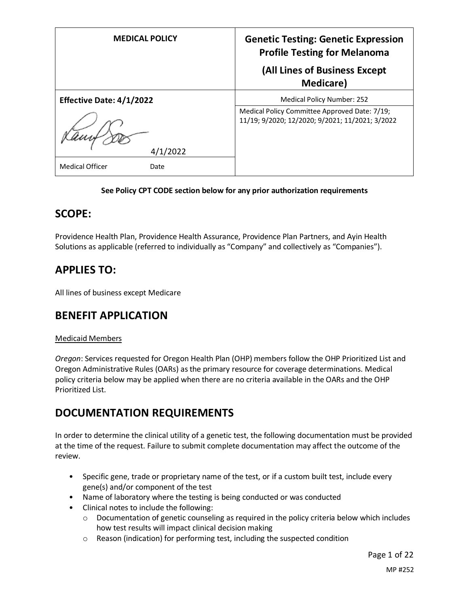| <b>MEDICAL POLICY</b>           | <b>Genetic Testing: Genetic Expression</b><br><b>Profile Testing for Melanoma</b><br>(All Lines of Business Except |
|---------------------------------|--------------------------------------------------------------------------------------------------------------------|
|                                 | <b>Medicare</b> )                                                                                                  |
| <b>Effective Date: 4/1/2022</b> | <b>Medical Policy Number: 252</b>                                                                                  |
| 2022/                           | Medical Policy Committee Approved Date: 7/19;<br>11/19; 9/2020; 12/2020; 9/2021; 11/2021; 3/2022                   |
| <b>Medical Officer</b><br>Date  |                                                                                                                    |

#### **See Policy CPT CODE section below for any prior authorization requirements**

## **SCOPE:**

Providence Health Plan, Providence Health Assurance, Providence Plan Partners, and Ayin Health Solutions as applicable (referred to individually as "Company" and collectively as "Companies").

## **APPLIES TO:**

All lines of business except Medicare

## **BENEFIT APPLICATION**

#### Medicaid Members

*Oregon*: Services requested for Oregon Health Plan (OHP) members follow the OHP Prioritized List and Oregon Administrative Rules (OARs) as the primary resource for coverage determinations. Medical policy criteria below may be applied when there are no criteria available in the OARs and the OHP Prioritized List.

## **DOCUMENTATION REQUIREMENTS**

In order to determine the clinical utility of a genetic test, the following documentation must be provided at the time of the request. Failure to submit complete documentation may affect the outcome of the review.

- Specific gene, trade or proprietary name of the test, or if a custom built test, include every gene(s) and/or component of the test
- Name of laboratory where the testing is being conducted or was conducted
- Clinical notes to include the following:
	- o Documentation of genetic counseling as required in the policy criteria below which includes how test results will impact clinical decision making
	- o Reason (indication) for performing test, including the suspected condition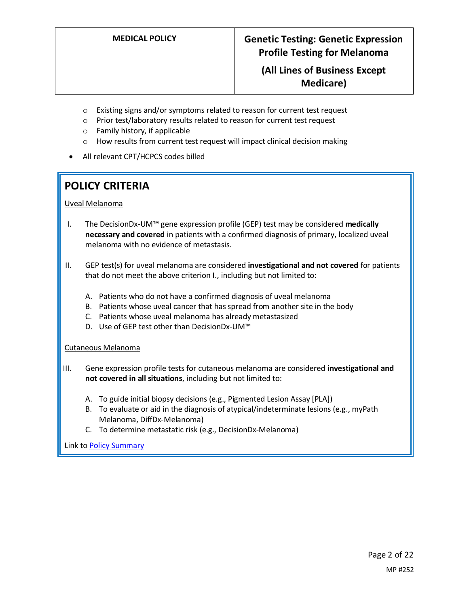- o Existing signs and/or symptoms related to reason for current test request
- o Prior test/laboratory results related to reason for current test request
- o Family history, if applicable
- o How results from current test request will impact clinical decision making
- All relevant CPT/HCPCS codes billed

# **POLICY CRITERIA**

Uveal Melanoma

- I. The DecisionDx-UM™ gene expression profile (GEP) test may be considered **medically necessary and covered** in patients with a confirmed diagnosis of primary, localized uveal melanoma with no evidence of metastasis.
- II. GEP test(s) for uveal melanoma are considered **investigational and not covered** for patients that do not meet the above criterion I., including but not limited to:
	- A. Patients who do not have a confirmed diagnosis of uveal melanoma
	- B. Patients whose uveal cancer that has spread from another site in the body
	- C. Patients whose uveal melanoma has already metastasized
	- D. Use of GEP test other than DecisionDx-UM™

Cutaneous Melanoma

- III. Gene expression profile tests for cutaneous melanoma are considered **investigational and not covered in all situations**, including but not limited to:
	- A. To guide initial biopsy decisions (e.g., Pigmented Lesion Assay [PLA])
	- B. To evaluate or aid in the diagnosis of atypical/indeterminate lesions (e.g., myPath Melanoma, DiffDx-Melanoma)
	- C. To determine metastatic risk (e.g., DecisionDx-Melanoma)

Link t[o Policy Summary](#page-15-0)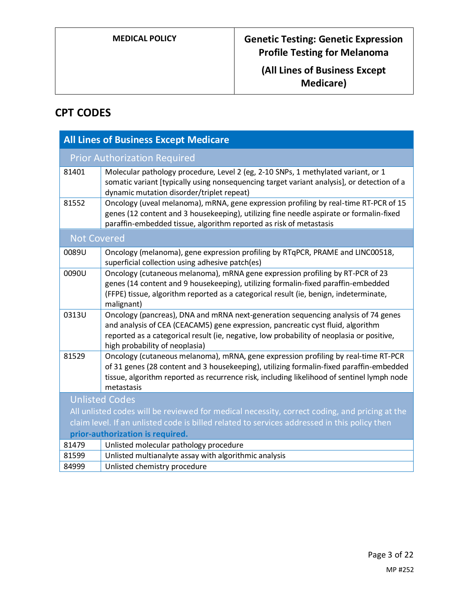# **CPT CODES**

| <b>All Lines of Business Except Medicare</b>                                                                                     |                                                                                                                                                                                                                                                                                                     |
|----------------------------------------------------------------------------------------------------------------------------------|-----------------------------------------------------------------------------------------------------------------------------------------------------------------------------------------------------------------------------------------------------------------------------------------------------|
| <b>Prior Authorization Required</b>                                                                                              |                                                                                                                                                                                                                                                                                                     |
| 81401                                                                                                                            | Molecular pathology procedure, Level 2 (eg, 2-10 SNPs, 1 methylated variant, or 1<br>somatic variant [typically using nonsequencing target variant analysis], or detection of a<br>dynamic mutation disorder/triplet repeat)                                                                        |
| 81552                                                                                                                            | Oncology (uveal melanoma), mRNA, gene expression profiling by real-time RT-PCR of 15<br>genes (12 content and 3 housekeeping), utilizing fine needle aspirate or formalin-fixed<br>paraffin-embedded tissue, algorithm reported as risk of metastasis                                               |
| <b>Not Covered</b>                                                                                                               |                                                                                                                                                                                                                                                                                                     |
| 0089U                                                                                                                            | Oncology (melanoma), gene expression profiling by RTqPCR, PRAME and LINC00518,<br>superficial collection using adhesive patch(es)                                                                                                                                                                   |
| 0090U                                                                                                                            | Oncology (cutaneous melanoma), mRNA gene expression profiling by RT-PCR of 23<br>genes (14 content and 9 housekeeping), utilizing formalin-fixed paraffin-embedded<br>(FFPE) tissue, algorithm reported as a categorical result (ie, benign, indeterminate,<br>malignant)                           |
| 0313U                                                                                                                            | Oncology (pancreas), DNA and mRNA next-generation sequencing analysis of 74 genes<br>and analysis of CEA (CEACAM5) gene expression, pancreatic cyst fluid, algorithm<br>reported as a categorical result (ie, negative, low probability of neoplasia or positive,<br>high probability of neoplasia) |
| 81529                                                                                                                            | Oncology (cutaneous melanoma), mRNA, gene expression profiling by real-time RT-PCR<br>of 31 genes (28 content and 3 housekeeping), utilizing formalin-fixed paraffin-embedded<br>tissue, algorithm reported as recurrence risk, including likelihood of sentinel lymph node<br>metastasis           |
| <b>Unlisted Codes</b>                                                                                                            |                                                                                                                                                                                                                                                                                                     |
| All unlisted codes will be reviewed for medical necessity, correct coding, and pricing at the                                    |                                                                                                                                                                                                                                                                                                     |
| claim level. If an unlisted code is billed related to services addressed in this policy then<br>prior-authorization is required. |                                                                                                                                                                                                                                                                                                     |
| 81479                                                                                                                            | Unlisted molecular pathology procedure                                                                                                                                                                                                                                                              |
| 81599                                                                                                                            | Unlisted multianalyte assay with algorithmic analysis                                                                                                                                                                                                                                               |
| 84999                                                                                                                            | Unlisted chemistry procedure                                                                                                                                                                                                                                                                        |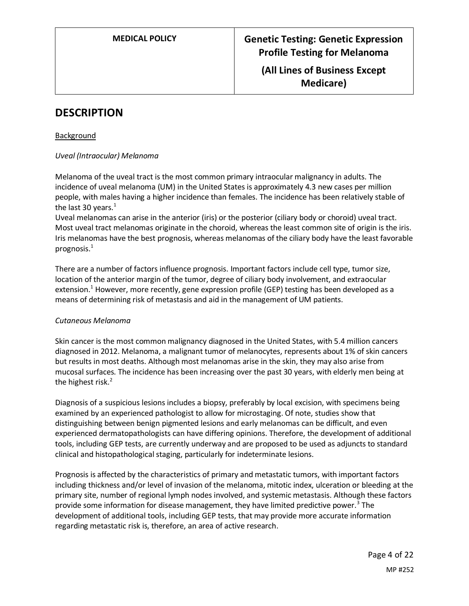## **DESCRIPTION**

Background

#### *Uveal (Intraocular) Melanoma*

Melanoma of the uveal tract is the most common primary intraocular malignancy in adults. The incidence of uveal melanoma (UM) in the United States is approximately 4.3 new cases per million people, with males having a higher incidence than females. The incidence has been relatively stable of the last 30 years. $1$ 

Uveal melanomas can arise in the anterior (iris) or the posterior (ciliary body or choroid) uveal tract. Most uveal tract melanomas originate in the choroid, whereas the least common site of origin is the iris. Iris melanomas have the best prognosis, whereas melanomas of the ciliary body have the least favorable prognosis.<sup>1</sup>

There are a number of factors influence prognosis. Important factors include cell type, tumor size, location of the anterior margin of the tumor, degree of ciliary body involvement, and extraocular extension.<sup>1</sup> However, more recently, gene expression profile (GEP) testing has been developed as a means of determining risk of metastasis and aid in the management of UM patients.

#### *Cutaneous Melanoma*

Skin cancer is the most common malignancy diagnosed in the United States, with 5.4 million cancers diagnosed in 2012. Melanoma, a malignant tumor of melanocytes, represents about 1% of skin cancers but results in most deaths. Although most melanomas arise in the skin, they may also arise from mucosal surfaces. The incidence has been increasing over the past 30 years, with elderly men being at the highest risk. $<sup>2</sup>$ </sup>

Diagnosis of a suspicious lesions includes a biopsy, preferably by local excision, with specimens being examined by an experienced pathologist to allow for microstaging. Of note, studies show that distinguishing between benign pigmented lesions and early melanomas can be difficult, and even experienced dermatopathologists can have differing opinions. Therefore, the development of additional tools, including GEP tests, are currently underway and are proposed to be used as adjuncts to standard clinical and histopathological staging, particularly for indeterminate lesions.

Prognosis is affected by the characteristics of primary and metastatic tumors, with important factors including thickness and/or level of invasion of the melanoma, mitotic index, ulceration or bleeding at the primary site, number of regional lymph nodes involved, and systemic metastasis. Although these factors provide some information for disease management, they have limited predictive power.<sup>3</sup> The development of additional tools, including GEP tests, that may provide more accurate information regarding metastatic risk is, therefore, an area of active research.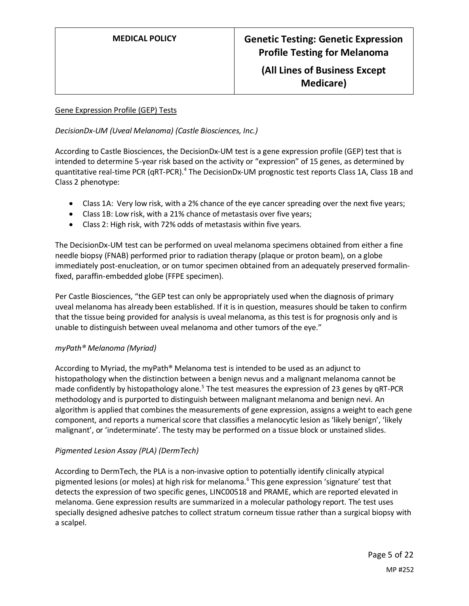#### Gene Expression Profile (GEP) Tests

#### *DecisionDx-UM (Uveal Melanoma) (Castle Biosciences, Inc.)*

According to Castle Biosciences, the DecisionDx-UM test is a gene expression profile (GEP) test that is intended to determine 5-year risk based on the activity or "expression" of 15 genes, as determined by quantitative real-time PCR (qRT-PCR).<sup>4</sup> The DecisionDx-UM prognostic test reports Class 1A, Class 1B and Class 2 phenotype:

- Class 1A: Very low risk, with a 2% chance of the eye cancer spreading over the next five years;
- Class 1B: Low risk, with a 21% chance of metastasis over five years;
- Class 2: High risk, with 72% odds of metastasis within five years.

The DecisionDx-UM test can be performed on uveal melanoma specimens obtained from either a fine needle biopsy (FNAB) performed prior to radiation therapy (plaque or proton beam), on a globe immediately post-enucleation, or on tumor specimen obtained from an adequately preserved formalinfixed, paraffin-embedded globe (FFPE specimen).

Per Castle Biosciences, "the GEP test can only be appropriately used when the diagnosis of primary uveal melanoma has already been established. If it is in question, measures should be taken to confirm that the tissue being provided for analysis is uveal melanoma, as this test is for prognosis only and is unable to distinguish between uveal melanoma and other tumors of the eye."

#### *myPath® Melanoma (Myriad)*

According to Myriad, the myPath® Melanoma test is intended to be used as an adjunct to histopathology when the distinction between a benign nevus and a malignant melanoma cannot be made confidently by histopathology alone.<sup>5</sup> The test measures the expression of 23 genes by qRT-PCR methodology and is purported to distinguish between malignant melanoma and benign nevi. An algorithm is applied that combines the measurements of gene expression, assigns a weight to each gene component, and reports a numerical score that classifies a melanocytic lesion as 'likely benign', 'likely malignant', or 'indeterminate'. The testy may be performed on a tissue block or unstained slides.

#### *Pigmented Lesion Assay (PLA) (DermTech)*

According to DermTech, the PLA is a non-invasive option to potentially identify clinically atypical pigmented lesions (or moles) at high risk for melanoma.<sup>6</sup> This gene expression 'signature' test that detects the expression of two specific genes, LINC00518 and PRAME, which are reported elevated in melanoma. Gene expression results are summarized in a molecular pathology report. The test uses specially designed adhesive patches to collect stratum corneum tissue rather than a surgical biopsy with a scalpel.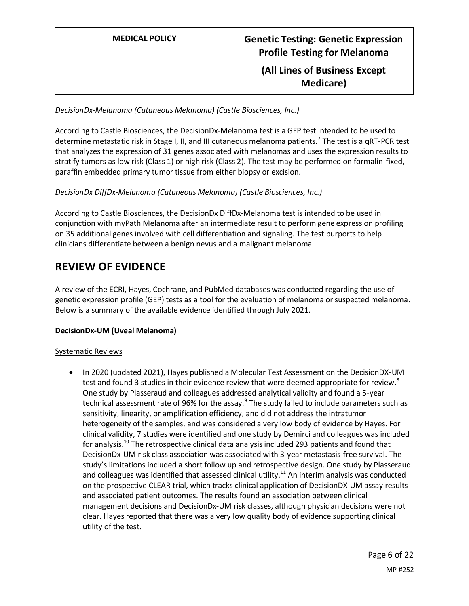#### *DecisionDx-Melanoma (Cutaneous Melanoma) (Castle Biosciences, Inc.)*

According to Castle Biosciences, the DecisionDx-Melanoma test is a GEP test intended to be used to determine metastatic risk in Stage I, II, and III cutaneous melanoma patients.<sup>7</sup> The test is a qRT-PCR test that analyzes the expression of 31 genes associated with melanomas and uses the expression results to stratify tumors as low risk (Class 1) or high risk (Class 2). The test may be performed on formalin-fixed, paraffin embedded primary tumor tissue from either biopsy or excision.

#### *DecisionDx DiffDx-Melanoma (Cutaneous Melanoma) (Castle Biosciences, Inc.)*

According to Castle Biosciences, the DecisionDx DiffDx-Melanoma test is intended to be used in conjunction with myPath Melanoma after an intermediate result to perform gene expression profiling on 35 additional genes involved with cell differentiation and signaling. The test purports to help clinicians differentiate between a benign nevus and a malignant melanoma

## **REVIEW OF EVIDENCE**

A review of the ECRI, Hayes, Cochrane, and PubMed databases was conducted regarding the use of genetic expression profile (GEP) tests as a tool for the evaluation of melanoma or suspected melanoma. Below is a summary of the available evidence identified through July 2021.

#### **DecisionDx-UM (Uveal Melanoma)**

#### Systematic Reviews

• In 2020 (updated 2021), Hayes published a Molecular Test Assessment on the DecisionDX-UM test and found 3 studies in their evidence review that were deemed appropriate for review.<sup>8</sup> One study by Plasseraud and colleagues addressed analytical validity and found a 5-year technical assessment rate of 96% for the assay.<sup>9</sup> The study failed to include parameters such as sensitivity, linearity, or amplification efficiency, and did not address the intratumor heterogeneity of the samples, and was considered a very low body of evidence by Hayes. For clinical validity, 7 studies were identified and one study by Demirci and colleagues was included for analysis.<sup>10</sup> The retrospective clinical data analysis included 293 patients and found that DecisionDx-UM risk class association was associated with 3-year metastasis-free survival. The study's limitations included a short follow up and retrospective design. One study by Plasseraud and colleagues was identified that assessed clinical utility.<sup>11</sup> An interim analysis was conducted on the prospective CLEAR trial, which tracks clinical application of DecisionDX-UM assay results and associated patient outcomes. The results found an association between clinical management decisions and DecisionDx-UM risk classes, although physician decisions were not clear. Hayes reported that there was a very low quality body of evidence supporting clinical utility of the test.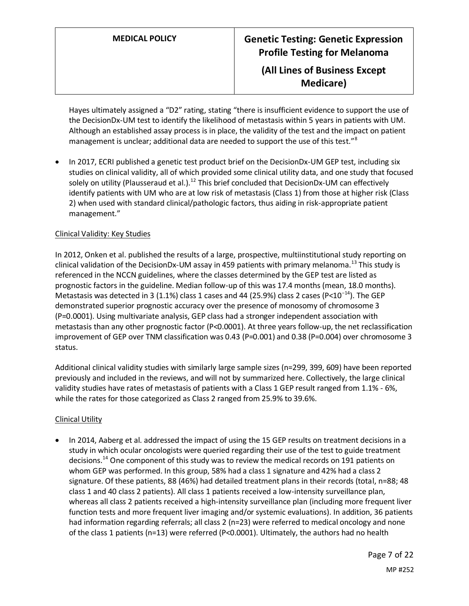Hayes ultimately assigned a "D2" rating, stating "there is insufficient evidence to support the use of the DecisionDx-UM test to identify the likelihood of metastasis within 5 years in patients with UM. Although an established assay process is in place, the validity of the test and the impact on patient management is unclear; additional data are needed to support the use of this test."<sup>8</sup>

In 2017, ECRI published a genetic test product brief on the DecisionDx-UM GEP test, including six studies on clinical validity, all of which provided some clinical utility data, and one study that focused solely on utility (Plausseraud et al.).<sup>12</sup> This brief concluded that DecisionDx-UM can effectively identify patients with UM who are at low risk of metastasis (Class 1) from those at higher risk (Class 2) when used with standard clinical/pathologic factors, thus aiding in risk-appropriate patient management."

#### Clinical Validity: Key Studies

In 2012, Onken et al. published the results of a large, prospective, multiinstitutional study reporting on clinical validation of the DecisionDx-UM assay in 459 patients with primary melanoma.<sup>13</sup> This study is referenced in the NCCN guidelines, where the classes determined by the GEP test are listed as prognostic factors in the guideline. Median follow-up of this was 17.4 months (mean, 18.0 months). Metastasis was detected in 3 (1.1%) class 1 cases and 44 (25.9%) class 2 cases (P<10<sup>-14</sup>). The GEP demonstrated superior prognostic accuracy over the presence of monosomy of chromosome 3 (P=0.0001). Using multivariate analysis, GEP class had a stronger independent association with metastasis than any other prognostic factor (P<0.0001). At three years follow-up, the net reclassification improvement of GEP over TNM classification was 0.43 (P=0.001) and 0.38 (P=0.004) over chromosome 3 status.

Additional clinical validity studies with similarly large sample sizes (n=299, 399, 609) have been reported previously and included in the reviews, and will not by summarized here. Collectively, the large clinical validity studies have rates of metastasis of patients with a Class 1 GEP result ranged from 1.1% - 6%, while the rates for those categorized as Class 2 ranged from 25.9% to 39.6%.

#### Clinical Utility

• In 2014, Aaberg et al. addressed the impact of using the 15 GEP results on treatment decisions in a study in which ocular oncologists were queried regarding their use of the test to guide treatment decisions.<sup>14</sup> One component of this study was to review the medical records on 191 patients on whom GEP was performed. In this group, 58% had a class 1 signature and 42% had a class 2 signature. Of these patients, 88 (46%) had detailed treatment plans in their records (total, n=88; 48 class 1 and 40 class 2 patients). All class 1 patients received a low-intensity surveillance plan, whereas all class 2 patients received a high-intensity surveillance plan (including more frequent liver function tests and more frequent liver imaging and/or systemic evaluations). In addition, 36 patients had information regarding referrals; all class 2 (n=23) were referred to medical oncology and none of the class 1 patients (n=13) were referred (P<0.0001). Ultimately, the authors had no health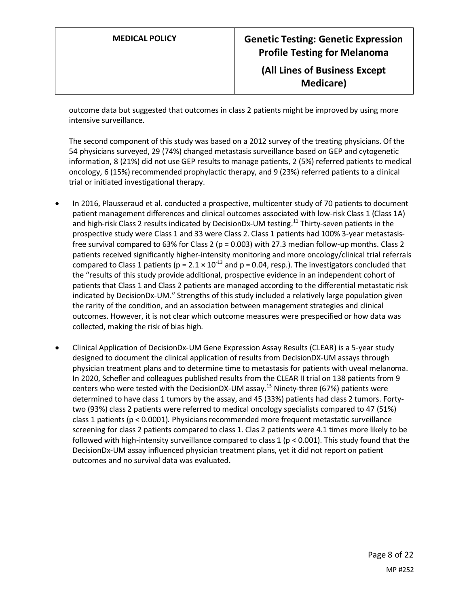outcome data but suggested that outcomes in class 2 patients might be improved by using more intensive surveillance.

The second component of this study was based on a 2012 survey of the treating physicians. Of the 54 physicians surveyed, 29 (74%) changed metastasis surveillance based on GEP and cytogenetic information, 8 (21%) did not use GEP results to manage patients, 2 (5%) referred patients to medical oncology, 6 (15%) recommended prophylactic therapy, and 9 (23%) referred patients to a clinical trial or initiated investigational therapy.

- In 2016, Plausseraud et al. conducted a prospective, multicenter study of 70 patients to document patient management differences and clinical outcomes associated with low-risk Class 1 (Class 1A) and high-risk Class 2 results indicated by DecisionDx-UM testing.<sup>11</sup> Thirty-seven patients in the prospective study were Class 1 and 33 were Class 2. Class 1 patients had 100% 3-year metastasisfree survival compared to 63% for Class 2 ( $p = 0.003$ ) with 27.3 median follow-up months. Class 2 patients received significantly higher-intensity monitoring and more oncology/clinical trial referrals compared to Class 1 patients (p =  $2.1 \times 10^{-13}$  and p = 0.04, resp.). The investigators concluded that the "results of this study provide additional, prospective evidence in an independent cohort of patients that Class 1 and Class 2 patients are managed according to the differential metastatic risk indicated by DecisionDx-UM." Strengths of this study included a relatively large population given the rarity of the condition, and an association between management strategies and clinical outcomes. However, it is not clear which outcome measures were prespecified or how data was collected, making the risk of bias high.
- Clinical Application of DecisionDx-UM Gene Expression Assay Results (CLEAR) is a 5-year study designed to document the clinical application of results from DecisionDX-UM assays through physician treatment plans and to determine time to metastasis for patients with uveal melanoma. In 2020, Schefler and colleagues published results from the CLEAR II trial on 138 patients from 9 centers who were tested with the DecisionDX-UM assay.<sup>15</sup> Ninety-three (67%) patients were determined to have class 1 tumors by the assay, and 45 (33%) patients had class 2 tumors. Fortytwo (93%) class 2 patients were referred to medical oncology specialists compared to 47 (51%) class 1 patients (p < 0.0001). Physicians recommended more frequent metastatic surveillance screening for class 2 patients compared to class 1. Clas 2 patients were 4.1 times more likely to be followed with high-intensity surveillance compared to class 1 ( $p < 0.001$ ). This study found that the DecisionDx-UM assay influenced physician treatment plans, yet it did not report on patient outcomes and no survival data was evaluated.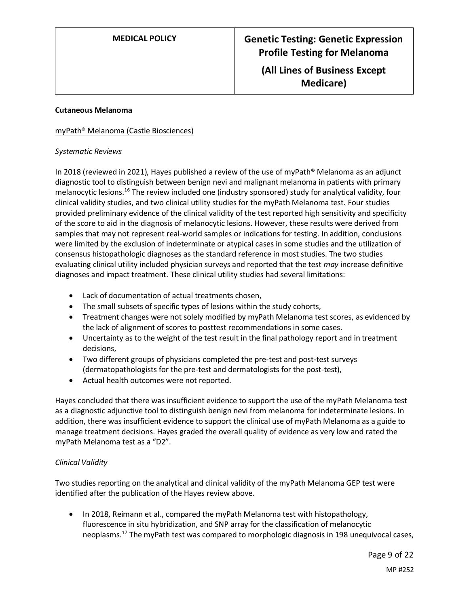#### **Cutaneous Melanoma**

#### myPath® Melanoma (Castle Biosciences)

#### *Systematic Reviews*

In 2018 (reviewed in 2021), Hayes published a review of the use of myPath® Melanoma as an adjunct diagnostic tool to distinguish between benign nevi and malignant melanoma in patients with primary melanocytic lesions.<sup>16</sup> The review included one (industry sponsored) study for analytical validity, four clinical validity studies, and two clinical utility studies for the myPath Melanoma test. Four studies provided preliminary evidence of the clinical validity of the test reported high sensitivity and specificity of the score to aid in the diagnosis of melanocytic lesions. However, these results were derived from samples that may not represent real-world samples or indications for testing. In addition, conclusions were limited by the exclusion of indeterminate or atypical cases in some studies and the utilization of consensus histopathologic diagnoses as the standard reference in most studies. The two studies evaluating clinical utility included physician surveys and reported that the test *may* increase definitive diagnoses and impact treatment. These clinical utility studies had several limitations:

- Lack of documentation of actual treatments chosen,
- The small subsets of specific types of lesions within the study cohorts,
- Treatment changes were not solely modified by myPath Melanoma test scores, as evidenced by the lack of alignment of scores to posttest recommendations in some cases.
- Uncertainty as to the weight of the test result in the final pathology report and in treatment decisions,
- Two different groups of physicians completed the pre-test and post-test surveys (dermatopathologists for the pre-test and dermatologists for the post-test),
- Actual health outcomes were not reported.

Hayes concluded that there was insufficient evidence to support the use of the myPath Melanoma test as a diagnostic adjunctive tool to distinguish benign nevi from melanoma for indeterminate lesions. In addition, there was insufficient evidence to support the clinical use of myPath Melanoma as a guide to manage treatment decisions. Hayes graded the overall quality of evidence as very low and rated the myPath Melanoma test as a "D2".

#### *Clinical Validity*

Two studies reporting on the analytical and clinical validity of the myPath Melanoma GEP test were identified after the publication of the Hayes review above.

• In 2018, Reimann et al., compared the myPath Melanoma test with histopathology, fluorescence in situ hybridization, and SNP array for the classification of melanocytic neoplasms.<sup>17</sup> The myPath test was compared to morphologic diagnosis in 198 unequivocal cases,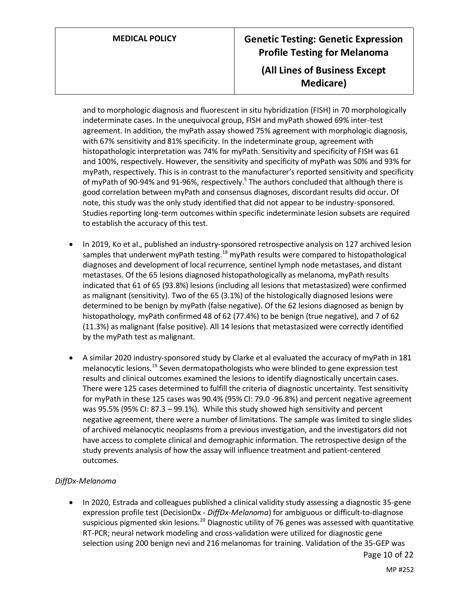# **MEDICAL POLICY Genetic Testing: Genetic Expression Profile Testing for Melanoma (All Lines of Business Except Medicare)**

and to morphologic diagnosis and fluorescent in situ hybridization (FISH) in 70 morphologically indeterminate cases. In the unequivocal group, FISH and myPath showed 69% inter-test agreement. In addition, the myPath assay showed 75% agreement with morphologic diagnosis, with 67% sensitivity and 81% specificity. In the indeterminate group, agreement with histopathologic interpretation was 74% for myPath. Sensitivity and specificity of FISH was 61 and 100%, respectively. However, the sensitivity and specificity of myPath was 50% and 93% for myPath, respectively. This is in contrast to the manufacturer's reported sensitivity and specificity of myPath of 90-94% and 91-96%, respectively.<sup>5</sup> The authors concluded that although there is good correlation between myPath and consensus diagnoses, discordant results did occur. Of note, this study was the only study identified that did not appear to be industry-sponsored. Studies reporting long-term outcomes within specific indeterminate lesion subsets are required to establish the accuracy of this test.

- In 2019, Ko et al., published an industry-sponsored retrospective analysis on 127 archived lesion samples that underwent myPath testing.<sup>18</sup> myPath results were compared to histopathological diagnoses and development of local recurrence, sentinel lymph node metastases, and distant metastases. Of the 65 lesions diagnosed histopathologically as melanoma, myPath results indicated that 61 of 65 (93.8%) lesions (including all lesions that metastasized) were confirmed as malignant (sensitivity). Two of the 65 (3.1%) of the histologically diagnosed lesions were determined to be benign by myPath (false negative). Of the 62 lesions diagnosed as benign by histopathology, myPath confirmed 48 of 62 (77.4%) to be benign (true negative), and 7 of 62 (11.3%) as malignant (false positive). All 14 lesions that metastasized were correctly identified by the myPath test as malignant.
- A similar 2020 industry-sponsored study by Clarke et al evaluated the accuracy of myPath in 181 melanocytic lesions.<sup>19</sup> Seven dermatopathologists who were blinded to gene expression test results and clinical outcomes examined the lesions to identify diagnostically uncertain cases. There were 125 cases determined to fulfill the criteria of diagnostic uncertainty. Test sensitivity for myPath in these 125 cases was 90.4% (95% CI: 79.0 -96.8%) and percent negative agreement was 95.5% (95% CI: 87.3 – 99.1%). While this study showed high sensitivity and percent negative agreement, there were a number of limitations. The sample was limited to single slides of archived melanocytic neoplasms from a previous investigation, and the investigators did not have access to complete clinical and demographic information. The retrospective design of the study prevents analysis of how the assay will influence treatment and patient-centered outcomes.

#### *DiffDx-Melanoma*

• In 2020, Estrada and colleagues published a clinical validity study assessing a diagnostic 35-gene expression profile test (DecisionDx - *DiffDx-Melanoma*) for ambiguous or difficult-to-diagnose suspicious pigmented skin lesions.<sup>20</sup> Diagnostic utility of 76 genes was assessed with quantitative RT-PCR; neural network modeling and cross-validation were utilized for diagnostic gene selection using 200 benign nevi and 216 melanomas for training. Validation of the 35-GEP was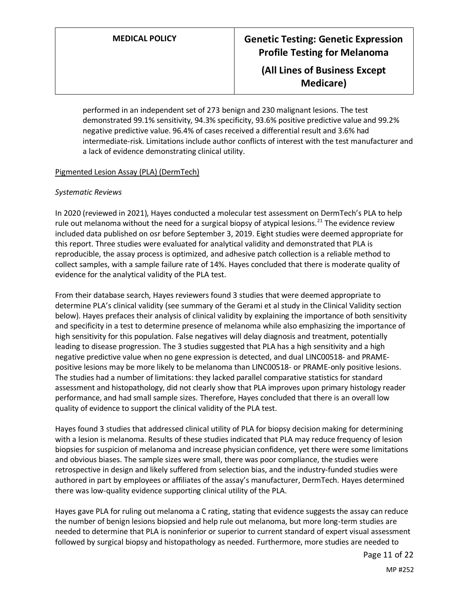performed in an independent set of 273 benign and 230 malignant lesions. The test demonstrated 99.1% sensitivity, 94.3% specificity, 93.6% positive predictive value and 99.2% negative predictive value. 96.4% of cases received a differential result and 3.6% had intermediate-risk. Limitations include author conflicts of interest with the test manufacturer and a lack of evidence demonstrating clinical utility.

#### Pigmented Lesion Assay (PLA) (DermTech)

#### *Systematic Reviews*

In 2020 (reviewed in 2021), Hayes conducted a molecular test assessment on DermTech's PLA to help rule out melanoma without the need for a surgical biopsy of atypical lesions.<sup>21</sup> The evidence review included data published on osr before September 3, 2019. Eight studies were deemed appropriate for this report. Three studies were evaluated for analytical validity and demonstrated that PLA is reproducible, the assay process is optimized, and adhesive patch collection is a reliable method to collect samples, with a sample failure rate of 14%. Hayes concluded that there is moderate quality of evidence for the analytical validity of the PLA test.

From their database search, Hayes reviewers found 3 studies that were deemed appropriate to determine PLA's clinical validity (see summary of the Gerami et al study in the Clinical Validity section below). Hayes prefaces their analysis of clinical validity by explaining the importance of both sensitivity and specificity in a test to determine presence of melanoma while also emphasizing the importance of high sensitivity for this population. False negatives will delay diagnosis and treatment, potentially leading to disease progression. The 3 studies suggested that PLA has a high sensitivity and a high negative predictive value when no gene expression is detected, and dual LINC00518- and PRAMEpositive lesions may be more likely to be melanoma than LINC00518- or PRAME-only positive lesions. The studies had a number of limitations: they lacked parallel comparative statistics for standard assessment and histopathology, did not clearly show that PLA improves upon primary histology reader performance, and had small sample sizes. Therefore, Hayes concluded that there is an overall low quality of evidence to support the clinical validity of the PLA test.

Hayes found 3 studies that addressed clinical utility of PLA for biopsy decision making for determining with a lesion is melanoma. Results of these studies indicated that PLA may reduce frequency of lesion biopsies for suspicion of melanoma and increase physician confidence, yet there were some limitations and obvious biases. The sample sizes were small, there was poor compliance, the studies were retrospective in design and likely suffered from selection bias, and the industry-funded studies were authored in part by employees or affiliates of the assay's manufacturer, DermTech. Hayes determined there was low-quality evidence supporting clinical utility of the PLA.

Hayes gave PLA for ruling out melanoma a C rating, stating that evidence suggests the assay can reduce the number of benign lesions biopsied and help rule out melanoma, but more long-term studies are needed to determine that PLA is noninferior or superior to current standard of expert visual assessment followed by surgical biopsy and histopathology as needed. Furthermore, more studies are needed to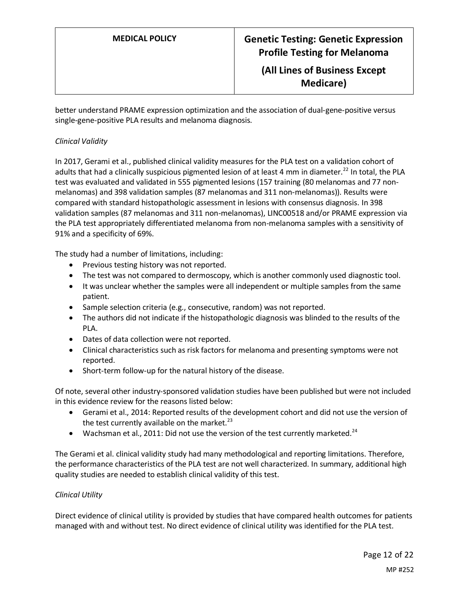better understand PRAME expression optimization and the association of dual-gene-positive versus single-gene-positive PLA results and melanoma diagnosis.

### *Clinical Validity*

In 2017, Gerami et al., published clinical validity measures for the PLA test on a validation cohort of adults that had a clinically suspicious pigmented lesion of at least 4 mm in diameter.<sup>22</sup> In total, the PLA test was evaluated and validated in 555 pigmented lesions (157 training (80 melanomas and 77 nonmelanomas) and 398 validation samples (87 melanomas and 311 non-melanomas)). Results were compared with standard histopathologic assessment in lesions with consensus diagnosis. In 398 validation samples (87 melanomas and 311 non-melanomas), LINC00518 and/or PRAME expression via the PLA test appropriately differentiated melanoma from non-melanoma samples with a sensitivity of 91% and a specificity of 69%.

The study had a number of limitations, including:

- Previous testing history was not reported.
- The test was not compared to dermoscopy, which is another commonly used diagnostic tool.
- It was unclear whether the samples were all independent or multiple samples from the same patient.
- Sample selection criteria (e.g., consecutive, random) was not reported.
- The authors did not indicate if the histopathologic diagnosis was blinded to the results of the PLA.
- Dates of data collection were not reported.
- Clinical characteristics such as risk factors for melanoma and presenting symptoms were not reported.
- Short-term follow-up for the natural history of the disease.

Of note, several other industry-sponsored validation studies have been published but were not included in this evidence review for the reasons listed below:

- Gerami et al., 2014: Reported results of the development cohort and did not use the version of the test currently available on the market. $^{23}$
- Wachsman et al., 2011: Did not use the version of the test currently marketed.<sup>24</sup>

The Gerami et al. clinical validity study had many methodological and reporting limitations. Therefore, the performance characteristics of the PLA test are not well characterized. In summary, additional high quality studies are needed to establish clinical validity of this test.

#### *Clinical Utility*

Direct evidence of clinical utility is provided by studies that have compared health outcomes for patients managed with and without test. No direct evidence of clinical utility was identified for the PLA test.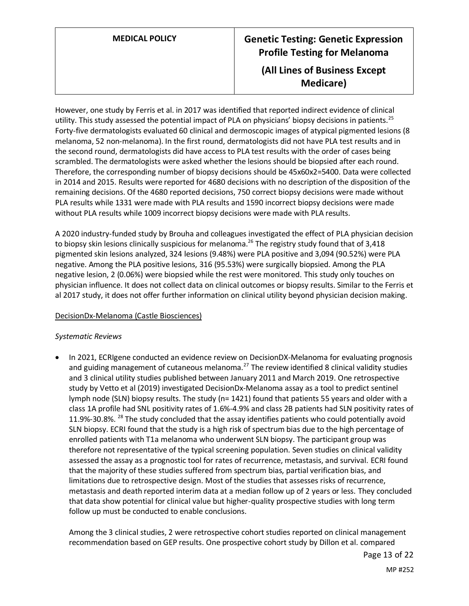# **MEDICAL POLICY Genetic Testing: Genetic Expression Profile Testing for Melanoma (All Lines of Business Except Medicare)**

However, one study by Ferris et al. in 2017 was identified that reported indirect evidence of clinical utility. This study assessed the potential impact of PLA on physicians' biopsy decisions in patients.<sup>25</sup> Forty-five dermatologists evaluated 60 clinical and dermoscopic images of atypical pigmented lesions (8 melanoma, 52 non-melanoma). In the first round, dermatologists did not have PLA test results and in the second round, dermatologists did have access to PLA test results with the order of cases being scrambled. The dermatologists were asked whether the lesions should be biopsied after each round. Therefore, the corresponding number of biopsy decisions should be 45x60x2=5400. Data were collected in 2014 and 2015. Results were reported for 4680 decisions with no description of the disposition of the remaining decisions. Of the 4680 reported decisions, 750 correct biopsy decisions were made without PLA results while 1331 were made with PLA results and 1590 incorrect biopsy decisions were made without PLA results while 1009 incorrect biopsy decisions were made with PLA results.

A 2020 industry-funded study by Brouha and colleagues investigated the effect of PLA physician decision to biopsy skin lesions clinically suspicious for melanoma.<sup>26</sup> The registry study found that of 3,418 pigmented skin lesions analyzed, 324 lesions (9.48%) were PLA positive and 3,094 (90.52%) were PLA negative. Among the PLA positive lesions, 316 (95.53%) were surgically biopsied. Among the PLA negative lesion, 2 (0.06%) were biopsied while the rest were monitored. This study only touches on physician influence. It does not collect data on clinical outcomes or biopsy results. Similar to the Ferris et al 2017 study, it does not offer further information on clinical utility beyond physician decision making.

#### DecisionDx-Melanoma (Castle Biosciences)

#### *Systematic Reviews*

• In 2021, ECRIgene conducted an evidence review on DecisionDX-Melanoma for evaluating prognosis and guiding management of cutaneous melanoma. $^{27}$  The review identified 8 clinical validity studies and 3 clinical utility studies published between January 2011 and March 2019. One retrospective study by Vetto et al (2019) investigated DecisionDx-Melanoma assay as a tool to predict sentinel lymph node (SLN) biopsy results. The study (n= 1421) found that patients 55 years and older with a class 1A profile had SNL positivity rates of 1.6%-4.9% and class 2B patients had SLN positivity rates of 11.9%-30.8%. <sup>28</sup> The study concluded that the assay identifies patients who could potentially avoid SLN biopsy. ECRI found that the study is a high risk of spectrum bias due to the high percentage of enrolled patients with T1a melanoma who underwent SLN biopsy. The participant group was therefore not representative of the typical screening population. Seven studies on clinical validity assessed the assay as a prognostic tool for rates of recurrence, metastasis, and survival. ECRI found that the majority of these studies suffered from spectrum bias, partial verification bias, and limitations due to retrospective design. Most of the studies that assesses risks of recurrence, metastasis and death reported interim data at a median follow up of 2 years or less. They concluded that data show potential for clinical value but higher-quality prospective studies with long term follow up must be conducted to enable conclusions.

Among the 3 clinical studies, 2 were retrospective cohort studies reported on clinical management recommendation based on GEP results. One prospective cohort study by Dillon et al. compared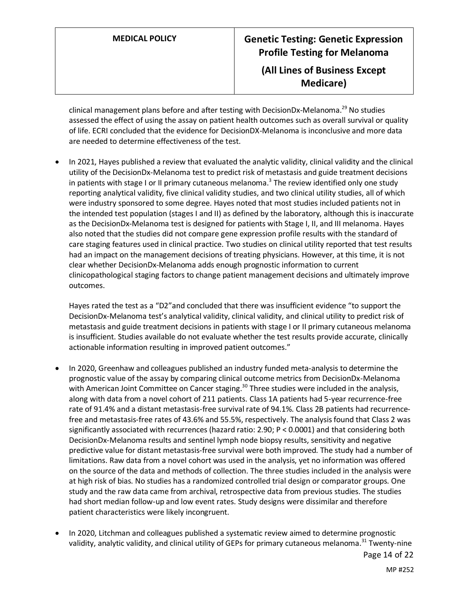# **MEDICAL POLICY Genetic Testing: Genetic Expression Profile Testing for Melanoma (All Lines of Business Except Medicare)**

clinical management plans before and after testing with DecisionDx-Melanoma.<sup>29</sup> No studies assessed the effect of using the assay on patient health outcomes such as overall survival or quality of life. ECRI concluded that the evidence for DecisionDX-Melanoma is inconclusive and more data are needed to determine effectiveness of the test.

• In 2021, Hayes published a review that evaluated the analytic validity, clinical validity and the clinical utility of the DecisionDx-Melanoma test to predict risk of metastasis and guide treatment decisions in patients with stage I or II primary cutaneous melanoma.<sup>3</sup> The review identified only one study reporting analytical validity, five clinical validity studies, and two clinical utility studies, all of which were industry sponsored to some degree. Hayes noted that most studies included patients not in the intended test population (stages I and II) as defined by the laboratory, although this is inaccurate as the DecisionDx-Melanoma test is designed for patients with Stage I, II, and III melanoma. Hayes also noted that the studies did not compare gene expression profile results with the standard of care staging features used in clinical practice. Two studies on clinical utility reported that test results had an impact on the management decisions of treating physicians. However, at this time, it is not clear whether DecisionDx-Melanoma adds enough prognostic information to current clinicopathological staging factors to change patient management decisions and ultimately improve outcomes.

Hayes rated the test as a "D2"and concluded that there was insufficient evidence "to support the DecisionDx-Melanoma test's analytical validity, clinical validity, and clinical utility to predict risk of metastasis and guide treatment decisions in patients with stage I or II primary cutaneous melanoma is insufficient. Studies available do not evaluate whether the test results provide accurate, clinically actionable information resulting in improved patient outcomes."

- In 2020, Greenhaw and colleagues published an industry funded meta-analysis to determine the prognostic value of the assay by comparing clinical outcome metrics from DecisionDx-Melanoma with American Joint Committee on Cancer staging.<sup>30</sup> Three studies were included in the analysis, along with data from a novel cohort of 211 patients. Class 1A patients had 5-year recurrence-free rate of 91.4% and a distant metastasis-free survival rate of 94.1%. Class 2B patients had recurrencefree and metastasis-free rates of 43.6% and 55.5%, respectively. The analysis found that Class 2 was significantly associated with recurrences (hazard ratio: 2.90; P < 0.0001) and that considering both DecisionDx-Melanoma results and sentinel lymph node biopsy results, sensitivity and negative predictive value for distant metastasis-free survival were both improved. The study had a number of limitations. Raw data from a novel cohort was used in the analysis, yet no information was offered on the source of the data and methods of collection. The three studies included in the analysis were at high risk of bias. No studies has a randomized controlled trial design or comparator groups. One study and the raw data came from archival, retrospective data from previous studies. The studies had short median follow-up and low event rates. Study designs were dissimilar and therefore patient characteristics were likely incongruent.
- In 2020, Litchman and colleagues published a systematic review aimed to determine prognostic validity, analytic validity, and clinical utility of GEPs for primary cutaneous melanoma.<sup>31</sup> Twenty-nine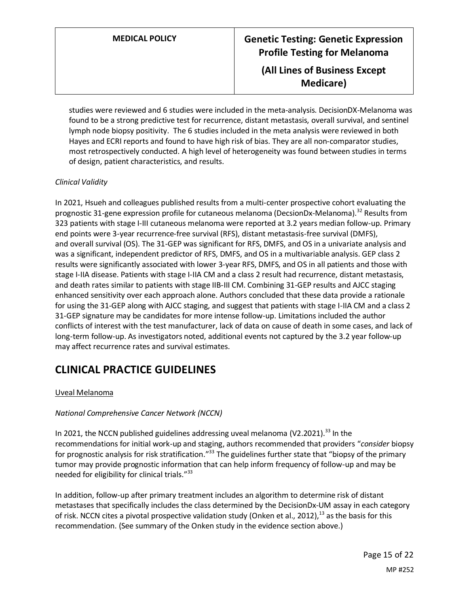studies were reviewed and 6 studies were included in the meta-analysis. DecisionDX-Melanoma was found to be a strong predictive test for recurrence, distant metastasis, overall survival, and sentinel lymph node biopsy positivity. The 6 studies included in the meta analysis were reviewed in both Hayes and ECRI reports and found to have high risk of bias. They are all non-comparator studies, most retrospectively conducted. A high level of heterogeneity was found between studies in terms of design, patient characteristics, and results.

### *Clinical Validity*

In 2021, Hsueh and colleagues published results from a multi-center prospective cohort evaluating the prognostic 31-gene expression profile for cutaneous melanoma (DecsionDx-Melanoma).<sup>32</sup> Results from 323 patients with stage I-III cutaneous melanoma were reported at 3.2 years median follow-up. Primary end points were 3-year recurrence-free survival (RFS), distant metastasis-free survival (DMFS), and overall survival (OS). The 31-GEP was significant for RFS, DMFS, and OS in a univariate analysis and was a significant, independent predictor of RFS, DMFS, and OS in a multivariable analysis. GEP class 2 results were significantly associated with lower 3-year RFS, DMFS, and OS in all patients and those with stage I-IIA disease. Patients with stage I-IIA CM and a class 2 result had recurrence, distant metastasis, and death rates similar to patients with stage IIB-III CM. Combining 31-GEP results and AJCC staging enhanced sensitivity over each approach alone. Authors concluded that these data provide a rationale for using the 31-GEP along with AJCC staging, and suggest that patients with stage I-IIA CM and a class 2 31-GEP signature may be candidates for more intense follow-up. Limitations included the author conflicts of interest with the test manufacturer, lack of data on cause of death in some cases, and lack of long-term follow-up. As investigators noted, additional events not captured by the 3.2 year follow-up may affect recurrence rates and survival estimates.

## **CLINICAL PRACTICE GUIDELINES**

#### Uveal Melanoma

#### *National Comprehensive Cancer Network (NCCN)*

In 2021, the NCCN published guidelines addressing uveal melanoma (V2.2021).<sup>33</sup> In the recommendations for initial work-up and staging, authors recommended that providers "*consider* biopsy for prognostic analysis for risk stratification."<sup>33</sup> The guidelines further state that "biopsy of the primary tumor may provide prognostic information that can help inform frequency of follow-up and may be needed for eligibility for clinical trials."<sup>33</sup>

In addition, follow-up after primary treatment includes an algorithm to determine risk of distant metastases that specifically includes the class determined by the DecisionDx-UM assay in each category of risk. NCCN cites a pivotal prospective validation study (Onken et al., 2012),<sup>13</sup> as the basis for this recommendation. (See summary of the Onken study in the evidence section above.)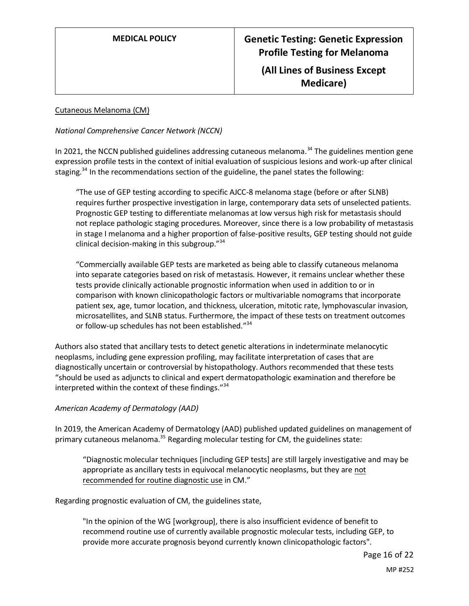#### Cutaneous Melanoma (CM)

#### *National Comprehensive Cancer Network (NCCN)*

In 2021, the NCCN published guidelines addressing cutaneous melanoma.<sup>34</sup> The guidelines mention gene expression profile tests in the context of initial evaluation of suspicious lesions and work-up after clinical staging.<sup>34</sup> In the recommendations section of the guideline, the panel states the following:

"The use of GEP testing according to specific AJCC-8 melanoma stage (before or after SLNB) requires further prospective investigation in large, contemporary data sets of unselected patients. Prognostic GEP testing to differentiate melanomas at low versus high risk for metastasis should not replace pathologic staging procedures. Moreover, since there is a low probability of metastasis in stage I melanoma and a higher proportion of false-positive results, GEP testing should not guide clinical decision-making in this subgroup."<sup>34</sup>

"Commercially available GEP tests are marketed as being able to classify cutaneous melanoma into separate categories based on risk of metastasis. However, it remains unclear whether these tests provide clinically actionable prognostic information when used in addition to or in comparison with known clinicopathologic factors or multivariable nomograms that incorporate patient sex, age, tumor location, and thickness, ulceration, mitotic rate, lymphovascular invasion, microsatellites, and SLNB status. Furthermore, the impact of these tests on treatment outcomes or follow-up schedules has not been established."<sup>34</sup>

Authors also stated that ancillary tests to detect genetic alterations in indeterminate melanocytic neoplasms, including gene expression profiling, may facilitate interpretation of cases that are diagnostically uncertain or controversial by histopathology. Authors recommended that these tests "should be used as adjuncts to clinical and expert dermatopathologic examination and therefore be interpreted within the context of these findings." 34

#### *American Academy of Dermatology (AAD)*

In 2019, the American Academy of Dermatology (AAD) published updated guidelines on management of primary cutaneous melanoma.<sup>35</sup> Regarding molecular testing for CM, the guidelines state:

"Diagnostic molecular techniques [including GEP tests] are still largely investigative and may be appropriate as ancillary tests in equivocal melanocytic neoplasms, but they are not recommended for routine diagnostic use in CM."

Regarding prognostic evaluation of CM, the guidelines state,

<span id="page-15-0"></span>"In the opinion of the WG [workgroup], there is also insufficient evidence of benefit to recommend routine use of currently available prognostic molecular tests, including GEP, to provide more accurate prognosis beyond currently known clinicopathologic factors".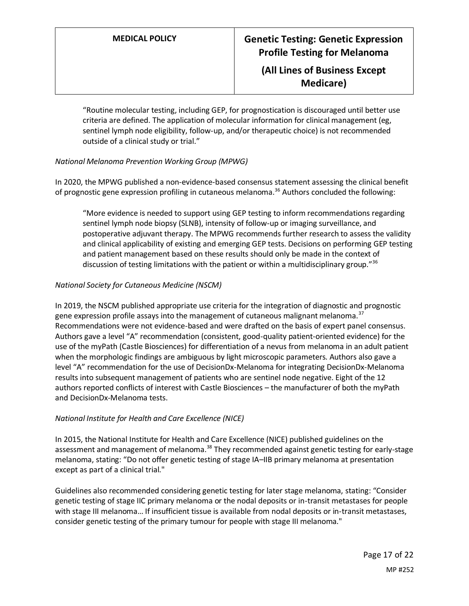"Routine molecular testing, including GEP, for prognostication is discouraged until better use criteria are defined. The application of molecular information for clinical management (eg, sentinel lymph node eligibility, follow-up, and/or therapeutic choice) is not recommended outside of a clinical study or trial."

### *National Melanoma Prevention Working Group (MPWG)*

In 2020, the MPWG published a non-evidence-based consensus statement assessing the clinical benefit of prognostic gene expression profiling in cutaneous melanoma.<sup>36</sup> Authors concluded the following:

"More evidence is needed to support using GEP testing to inform recommendations regarding sentinel lymph node biopsy (SLNB), intensity of follow-up or imaging surveillance, and postoperative adjuvant therapy. The MPWG recommends further research to assess the validity and clinical applicability of existing and emerging GEP tests. Decisions on performing GEP testing and patient management based on these results should only be made in the context of discussion of testing limitations with the patient or within a multidisciplinary group."<sup>36</sup>

### *National Society for Cutaneous Medicine (NSCM)*

In 2019, the NSCM published appropriate use criteria for the integration of diagnostic and prognostic gene expression profile assays into the management of cutaneous malignant melanoma.<sup>37</sup> Recommendations were not evidence-based and were drafted on the basis of expert panel consensus. Authors gave a level "A" recommendation (consistent, good-quality patient-oriented evidence) for the use of the myPath (Castle Biosciences) for differentiation of a nevus from melanoma in an adult patient when the morphologic findings are ambiguous by light microscopic parameters. Authors also gave a level "A" recommendation for the use of DecisionDx-Melanoma for integrating DecisionDx-Melanoma results into subsequent management of patients who are sentinel node negative. Eight of the 12 authors reported conflicts of interest with Castle Biosciences – the manufacturer of both the myPath and DecisionDx-Melanoma tests.

#### *National Institute for Health and Care Excellence (NICE)*

In 2015, the National Institute for Health and Care Excellence (NICE) published guidelines on the assessment and management of melanoma.<sup>38</sup> They recommended against genetic testing for early-stage melanoma, stating: "Do not offer genetic testing of stage IA–IIB primary melanoma at presentation except as part of a clinical trial."

Guidelines also recommended considering genetic testing for later stage melanoma, stating: "Consider genetic testing of stage IIC primary melanoma or the nodal deposits or in-transit metastases for people with stage III melanoma… If insufficient tissue is available from nodal deposits or in-transit metastases, consider genetic testing of the primary tumour for people with stage III melanoma."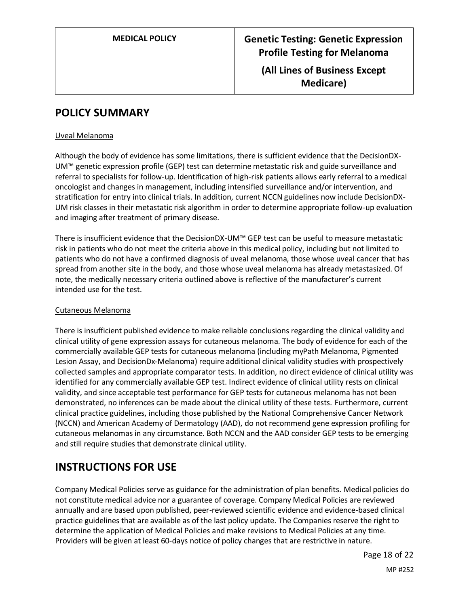## **POLICY SUMMARY**

#### Uveal Melanoma

Although the body of evidence has some limitations, there is sufficient evidence that the DecisionDX-UM™ genetic expression profile (GEP) test can determine metastatic risk and guide surveillance and referral to specialists for follow-up. Identification of high-risk patients allows early referral to a medical oncologist and changes in management, including intensified surveillance and/or intervention, and stratification for entry into clinical trials. In addition, current NCCN guidelines now include DecisionDX-UM risk classes in their metastatic risk algorithm in order to determine appropriate follow-up evaluation and imaging after treatment of primary disease.

There is insufficient evidence that the DecisionDX-UM™ GEP test can be useful to measure metastatic risk in patients who do not meet the criteria above in this medical policy, including but not limited to patients who do not have a confirmed diagnosis of uveal melanoma, those whose uveal cancer that has spread from another site in the body, and those whose uveal melanoma has already metastasized. Of note, the medically necessary criteria outlined above is reflective of the manufacturer's current intended use for the test.

#### Cutaneous Melanoma

There is insufficient published evidence to make reliable conclusions regarding the clinical validity and clinical utility of gene expression assays for cutaneous melanoma. The body of evidence for each of the commercially available GEP tests for cutaneous melanoma (including myPath Melanoma, Pigmented Lesion Assay, and DecisionDx-Melanoma) require additional clinical validity studies with prospectively collected samples and appropriate comparator tests. In addition, no direct evidence of clinical utility was identified for any commercially available GEP test. Indirect evidence of clinical utility rests on clinical validity, and since acceptable test performance for GEP tests for cutaneous melanoma has not been demonstrated, no inferences can be made about the clinical utility of these tests. Furthermore, current clinical practice guidelines, including those published by the National Comprehensive Cancer Network (NCCN) and American Academy of Dermatology (AAD), do not recommend gene expression profiling for cutaneous melanomas in any circumstance. Both NCCN and the AAD consider GEP tests to be emerging and still require studies that demonstrate clinical utility.

## **INSTRUCTIONS FOR USE**

Company Medical Policies serve as guidance for the administration of plan benefits. Medical policies do not constitute medical advice nor a guarantee of coverage. Company Medical Policies are reviewed annually and are based upon published, peer-reviewed scientific evidence and evidence-based clinical practice guidelines that are available as of the last policy update. The Companies reserve the right to determine the application of Medical Policies and make revisions to Medical Policies at any time. Providers will be given at least 60-days notice of policy changes that are restrictive in nature.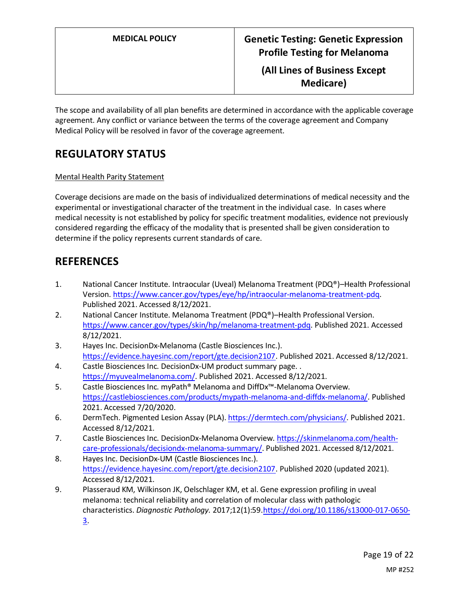The scope and availability of all plan benefits are determined in accordance with the applicable coverage agreement. Any conflict or variance between the terms of the coverage agreement and Company Medical Policy will be resolved in favor of the coverage agreement.

# **REGULATORY STATUS**

### Mental Health Parity Statement

Coverage decisions are made on the basis of individualized determinations of medical necessity and the experimental or investigational character of the treatment in the individual case. In cases where medical necessity is not established by policy for specific treatment modalities, evidence not previously considered regarding the efficacy of the modality that is presented shall be given consideration to determine if the policy represents current standards of care.

## **REFERENCES**

- 1. National Cancer Institute. Intraocular (Uveal) Melanoma Treatment (PDQ®)–Health Professional Version[. https://www.cancer.gov/types/eye/hp/intraocular-melanoma-treatment-pdq.](https://www.cancer.gov/types/eye/hp/intraocular-melanoma-treatment-pdq) Published 2021. Accessed 8/12/2021.
- 2. National Cancer Institute. Melanoma Treatment (PDQ®)–Health Professional Version. [https://www.cancer.gov/types/skin/hp/melanoma-treatment-pdq.](https://www.cancer.gov/types/skin/hp/melanoma-treatment-pdq) Published 2021. Accessed 8/12/2021.
- 3. Hayes Inc. DecisionDx-Melanoma (Castle Biosciences Inc.). [https://evidence.hayesinc.com/report/gte.decision2107.](https://evidence.hayesinc.com/report/gte.decision2107) Published 2021. Accessed 8/12/2021.
- 4. Castle Biosciences Inc. DecisionDx-UM product summary page. . [https://myuvealmelanoma.com/.](https://myuvealmelanoma.com/) Published 2021. Accessed 8/12/2021.
- 5. Castle Biosciences Inc. myPath® Melanoma and DiffDx™-Melanoma Overview. [https://castlebiosciences.com/products/mypath-melanoma-and-diffdx-melanoma/.](https://castlebiosciences.com/products/mypath-melanoma-and-diffdx-melanoma/) Published 2021. Accessed 7/20/2020.
- 6. DermTech. Pigmented Lesion Assay (PLA)[. https://dermtech.com/physicians/.](https://dermtech.com/physicians/) Published 2021. Accessed 8/12/2021.
- 7. Castle Biosciences Inc. DecisionDx-Melanoma Overview. [https://skinmelanoma.com/health](https://skinmelanoma.com/health-care-professionals/decisiondx-melanoma-summary/)[care-professionals/decisiondx-melanoma-summary/.](https://skinmelanoma.com/health-care-professionals/decisiondx-melanoma-summary/) Published 2021. Accessed 8/12/2021.
- 8. Hayes Inc. DecisionDx-UM (Castle Biosciences Inc.). [https://evidence.hayesinc.com/report/gte.decision2107.](https://evidence.hayesinc.com/report/gte.decision2107) Published 2020 (updated 2021). Accessed 8/12/2021.
- 9. Plasseraud KM, Wilkinson JK, Oelschlager KM, et al. Gene expression profiling in uveal melanoma: technical reliability and correlation of molecular class with pathologic characteristics. *Diagnostic Pathology.* 2017;12(1):59[.https://doi.org/10.1186/s13000-017-0650-](https://doi.org/10.1186/s13000-017-0650-3) [3.](https://doi.org/10.1186/s13000-017-0650-3)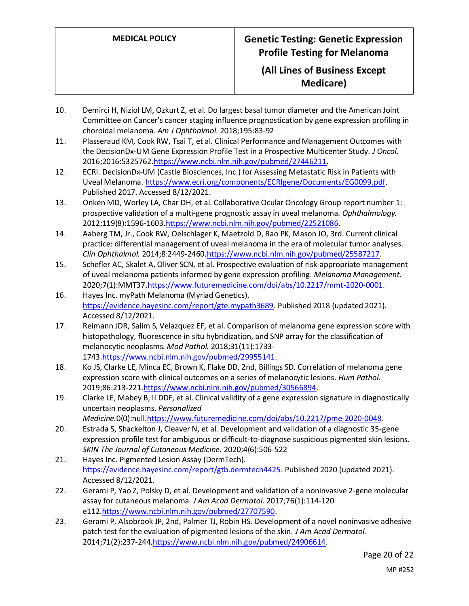- 10. Demirci H, Niziol LM, Ozkurt Z, et al. Do largest basal tumor diameter and the American Joint Committee on Cancer's cancer staging influence prognostication by gene expression profiling in choroidal melanoma. *Am J Ophthalmol.* 2018;195:83-92
- 11. Plasseraud KM, Cook RW, Tsai T, et al. Clinical Performance and Management Outcomes with the DecisionDx-UM Gene Expression Profile Test in a Prospective Multicenter Study. *J Oncol.*  2016;2016:5325762[.https://www.ncbi.nlm.nih.gov/pubmed/27446211.](https://www.ncbi.nlm.nih.gov/pubmed/27446211)
- 12. ECRI. DecisionDx-UM (Castle Biosciences, Inc.) for Assessing Metastatic Risk in Patients with Uveal Melanoma[. https://www.ecri.org/components/ECRIgene/Documents/EG0099.pdf.](https://www.ecri.org/components/ECRIgene/Documents/EG0099.pdf) Published 2017. Accessed 8/12/2021.
- 13. Onken MD, Worley LA, Char DH, et al. Collaborative Ocular Oncology Group report number 1: prospective validation of a multi-gene prognostic assay in uveal melanoma. *Ophthalmology.*  2012;119(8):1596-1603[.https://www.ncbi.nlm.nih.gov/pubmed/22521086.](https://www.ncbi.nlm.nih.gov/pubmed/22521086)
- 14. Aaberg TM, Jr., Cook RW, Oelschlager K, Maetzold D, Rao PK, Mason JO, 3rd. Current clinical practice: differential management of uveal melanoma in the era of molecular tumor analyses. *Clin Ophthalmol.* 2014;8:2449-246[0.https://www.ncbi.nlm.nih.gov/pubmed/25587217.](https://www.ncbi.nlm.nih.gov/pubmed/25587217)
- 15. Schefler AC, Skalet A, Oliver SCN, et al. Prospective evaluation of risk-appropriate management of uveal melanoma patients informed by gene expression profiling. *Melanoma Management.*  2020;7(1):MMT37[.https://www.futuremedicine.com/doi/abs/10.2217/mmt-2020-0001.](https://www.futuremedicine.com/doi/abs/10.2217/mmt-2020-0001)
- 16. Hayes Inc. myPath Melanoma (Myriad Genetics). [https://evidence.hayesinc.com/report/gte.mypath3689.](https://evidence.hayesinc.com/report/gte.mypath3689) Published 2018 (updated 2021). Accessed 8/12/2021.
- 17. Reimann JDR, Salim S, Velazquez EF, et al. Comparison of melanoma gene expression score with histopathology, fluorescence in situ hybridization, and SNP array for the classification of melanocytic neoplasms. *Mod Pathol.* 2018;31(11):1733- 1743[.https://www.ncbi.nlm.nih.gov/pubmed/29955141.](https://www.ncbi.nlm.nih.gov/pubmed/29955141)
- 18. Ko JS, Clarke LE, Minca EC, Brown K, Flake DD, 2nd, Billings SD. Correlation of melanoma gene expression score with clinical outcomes on a series of melanocytic lesions. *Hum Pathol.*  2019;86:213-221[.https://www.ncbi.nlm.nih.gov/pubmed/30566894.](https://www.ncbi.nlm.nih.gov/pubmed/30566894)
- 19. Clarke LE, Mabey B, II DDF, et al. Clinical validity of a gene expression signature in diagnostically uncertain neoplasms. *Personalized Medicine.*0(0):null[.https://www.futuremedicine.com/doi/abs/10.2217/pme-2020-0048.](https://www.futuremedicine.com/doi/abs/10.2217/pme-2020-0048)
- 20. Estrada S, Shackelton J, Cleaver N, et al. Development and validation of a diagnostic 35-gene expression profile test for ambiguous or difficult-to-diagnose suspicious pigmented skin lesions. *SKIN The Journal of Cutaneous Medicine.* 2020;4(6):506-522
- 21. Hayes Inc. Pigmented Lesion Assay (DermTech). [https://evidence.hayesinc.com/report/gtb.dermtech4425.](https://evidence.hayesinc.com/report/gtb.dermtech4425) Published 2020 (updated 2021). Accessed 8/12/2021.
- 22. Gerami P, Yao Z, Polsky D, et al. Development and validation of a noninvasive 2-gene molecular assay for cutaneous melanoma. *J Am Acad Dermatol.* 2017;76(1):114-120 e112[.https://www.ncbi.nlm.nih.gov/pubmed/27707590.](https://www.ncbi.nlm.nih.gov/pubmed/27707590)
- 23. Gerami P, Alsobrook JP, 2nd, Palmer TJ, Robin HS. Development of a novel noninvasive adhesive patch test for the evaluation of pigmented lesions of the skin. *J Am Acad Dermatol.*  2014;71(2):237-244[.https://www.ncbi.nlm.nih.gov/pubmed/24906614.](https://www.ncbi.nlm.nih.gov/pubmed/24906614)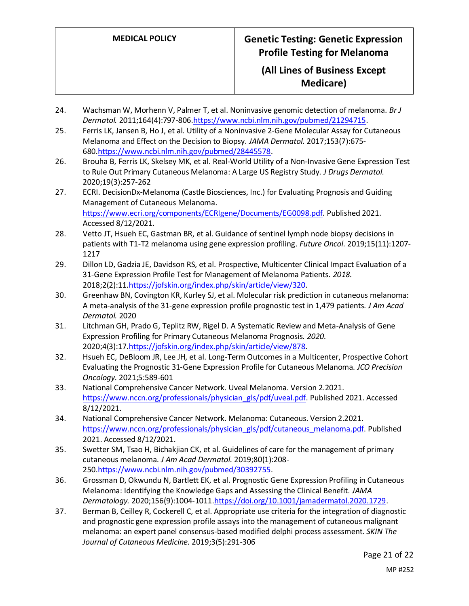- 24. Wachsman W, Morhenn V, Palmer T, et al. Noninvasive genomic detection of melanoma. *Br J Dermatol.* 2011;164(4):797-806[.https://www.ncbi.nlm.nih.gov/pubmed/21294715.](https://www.ncbi.nlm.nih.gov/pubmed/21294715)
- 25. Ferris LK, Jansen B, Ho J, et al. Utility of a Noninvasive 2-Gene Molecular Assay for Cutaneous Melanoma and Effect on the Decision to Biopsy. *JAMA Dermatol.* 2017;153(7):675- 680[.https://www.ncbi.nlm.nih.gov/pubmed/28445578.](https://www.ncbi.nlm.nih.gov/pubmed/28445578)
- 26. Brouha B, Ferris LK, Skelsey MK, et al. Real-World Utility of a Non-Invasive Gene Expression Test to Rule Out Primary Cutaneous Melanoma: A Large US Registry Study. *J Drugs Dermatol.*  2020;19(3):257-262
- 27. ECRI. DecisionDx-Melanoma (Castle Biosciences, Inc.) for Evaluating Prognosis and Guiding Management of Cutaneous Melanoma. [https://www.ecri.org/components/ECRIgene/Documents/EG0098.pdf.](https://www.ecri.org/components/ECRIgene/Documents/EG0098.pdf) Published 2021. Accessed 8/12/2021.
- 28. Vetto JT, Hsueh EC, Gastman BR, et al. Guidance of sentinel lymph node biopsy decisions in patients with T1-T2 melanoma using gene expression profiling. *Future Oncol.* 2019;15(11):1207- 1217
- 29. Dillon LD, Gadzia JE, Davidson RS, et al. Prospective, Multicenter Clinical Impact Evaluation of a 31-Gene Expression Profile Test for Management of Melanoma Patients. *2018.*  2018;2(2):11[.https://jofskin.org/index.php/skin/article/view/320.](https://jofskin.org/index.php/skin/article/view/320)
- 30. Greenhaw BN, Covington KR, Kurley SJ, et al. Molecular risk prediction in cutaneous melanoma: A meta-analysis of the 31-gene expression profile prognostic test in 1,479 patients. *J Am Acad Dermatol.* 2020
- 31. Litchman GH, Prado G, Teplitz RW, Rigel D. A Systematic Review and Meta-Analysis of Gene Expression Profiling for Primary Cutaneous Melanoma Prognosis. *2020.*  2020;4(3):17[.https://jofskin.org/index.php/skin/article/view/878.](https://jofskin.org/index.php/skin/article/view/878)
- 32. Hsueh EC, DeBloom JR, Lee JH, et al. Long-Term Outcomes in a Multicenter, Prospective Cohort Evaluating the Prognostic 31-Gene Expression Profile for Cutaneous Melanoma. *JCO Precision Oncology.* 2021;5:589-601
- 33. National Comprehensive Cancer Network. Uveal Melanoma. Version 2.2021. [https://www.nccn.org/professionals/physician\\_gls/pdf/uveal.pdf.](https://www.nccn.org/professionals/physician_gls/pdf/uveal.pdf) Published 2021. Accessed 8/12/2021.
- 34. National Comprehensive Cancer Network. Melanoma: Cutaneous. Version 2.2021. [https://www.nccn.org/professionals/physician\\_gls/pdf/cutaneous\\_melanoma.pdf.](https://www.nccn.org/professionals/physician_gls/pdf/cutaneous_melanoma.pdf) Published 2021. Accessed 8/12/2021.
- 35. Swetter SM, Tsao H, Bichakjian CK, et al. Guidelines of care for the management of primary cutaneous melanoma. *J Am Acad Dermatol.* 2019;80(1):208- 250[.https://www.ncbi.nlm.nih.gov/pubmed/30392755.](https://www.ncbi.nlm.nih.gov/pubmed/30392755)
- 36. Grossman D, Okwundu N, Bartlett EK, et al. Prognostic Gene Expression Profiling in Cutaneous Melanoma: Identifying the Knowledge Gaps and Assessing the Clinical Benefit. *JAMA Dermatology.* 2020;156(9):1004-1011[.https://doi.org/10.1001/jamadermatol.2020.1729.](https://doi.org/10.1001/jamadermatol.2020.1729)
- 37. Berman B, Ceilley R, Cockerell C, et al. Appropriate use criteria for the integration of diagnostic and prognostic gene expression profile assays into the management of cutaneous malignant melanoma: an expert panel consensus-based modified delphi process assessment. *SKIN The Journal of Cutaneous Medicine.* 2019;3(5):291-306